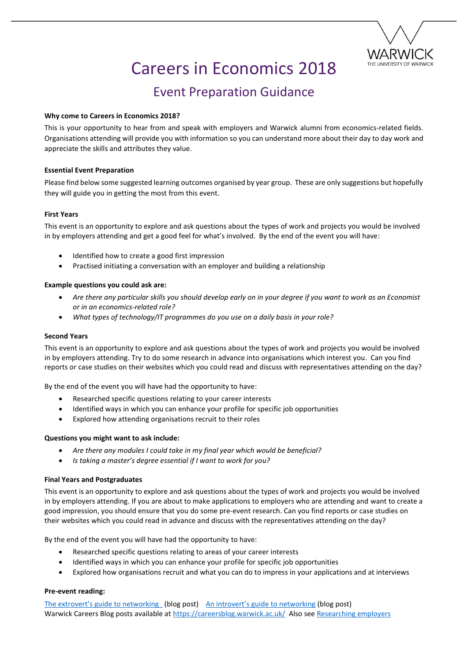

# Careers in Economics 2018

# Event Preparation Guidance

### **Why come to Careers in Economics 2018?**

This is your opportunity to hear from and speak with employers and Warwick alumni from economics-related fields. Organisations attending will provide you with information so you can understand more about their day to day work and appreciate the skills and attributes they value.

### **Essential Event Preparation**

Please find below some suggested learning outcomes organised by year group. These are only suggestions but hopefully they will guide you in getting the most from this event.

## **First Years**

This event is an opportunity to explore and ask questions about the types of work and projects you would be involved in by employers attending and get a good feel for what's involved. By the end of the event you will have:

- Identified how to create a good first impression
- Practised initiating a conversation with an employer and building a relationship

#### **Example questions you could ask are:**

- *Are there any particular skills you should develop early on in your degree if you want to work as an Economist or in an economics-related role?*
- *What types of technology/IT programmes do you use on a daily basis in your role?*

#### **Second Years**

This event is an opportunity to explore and ask questions about the types of work and projects you would be involved in by employers attending. Try to do some research in advance into organisations which interest you. Can you find reports or case studies on their websites which you could read and discuss with representatives attending on the day?

By the end of the event you will have had the opportunity to have:

- Researched specific questions relating to your career interests
- Identified ways in which you can enhance your profile for specific job opportunities
- Explored how attending organisations recruit to their roles

#### **Questions you might want to ask include:**

- *Are there any modules I could take in my final year which would be beneficial?*
- *Is taking a master's degree essential if I want to work for you?*

#### **Final Years and Postgraduates**

This event is an opportunity to explore and ask questions about the types of work and projects you would be involved in by employers attending. If you are about to make applications to employers who are attending and want to create a good impression, you should ensure that you do some pre-event research. Can you find reports or case studies on their websites which you could read in advance and discuss with the representatives attending on the day?

By the end of the event you will have had the opportunity to have:

- Researched specific questions relating to areas of your career interests
- Identified ways in which you can enhance your profile for specific job opportunities
- Explored how organisations recruit and what you can do to impress in your applications and at interviews

#### **Pre-event reading:**

[The extrovert's guide to networking](https://careersblog.warwick.ac.uk/2018/04/17/the-extroverts-guide-to-networking/) (blog post) [An introvert's guide to networking](https://careersblog.warwick.ac.uk/2013/02/28/an-introverts-guide-to-networking/) (blog post) Warwick Careers Blog posts available at<https://careersblog.warwick.ac.uk/>Also see [Researching employers](https://warwick.ac.uk/services/careers/findingwork/researching/)